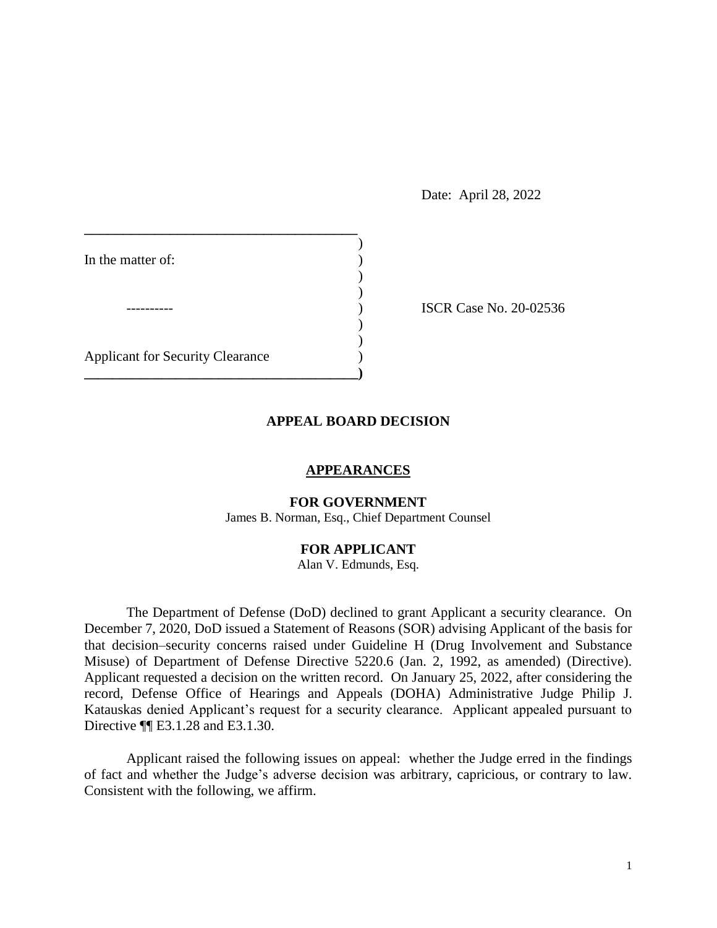Date: April 28, 2022

| In the matter of:                       |  |
|-----------------------------------------|--|
|                                         |  |
|                                         |  |
|                                         |  |
| <b>Applicant for Security Clearance</b> |  |
|                                         |  |

**ISCR Case No. 20-02536** 

### **APPEAL BOARD DECISION**

### **APPEARANCES**

# **FOR GOVERNMENT**

James B. Norman, Esq., Chief Department Counsel

## **FOR APPLICANT**

Alan V. Edmunds, Esq.

 The Department of Defense (DoD) declined to grant Applicant a security clearance. On December 7, 2020, DoD issued a Statement of Reasons (SOR) advising Applicant of the basis for Misuse) of Department of Defense Directive 5220.6 (Jan. 2, 1992, as amended) (Directive). Applicant requested a decision on the written record. On January 25, 2022, after considering the record, Defense Office of Hearings and Appeals (DOHA) Administrative Judge Philip J. Katauskas denied Applicant's request for a security clearance. Applicant appealed pursuant to that decision–security concerns raised under Guideline H (Drug Involvement and Substance Directive ¶¶ E3.1.28 and E3.1.30.

 Applicant raised the following issues on appeal: whether the Judge erred in the findings of fact and whether the Judge's adverse decision was arbitrary, capricious, or contrary to law. Consistent with the following, we affirm.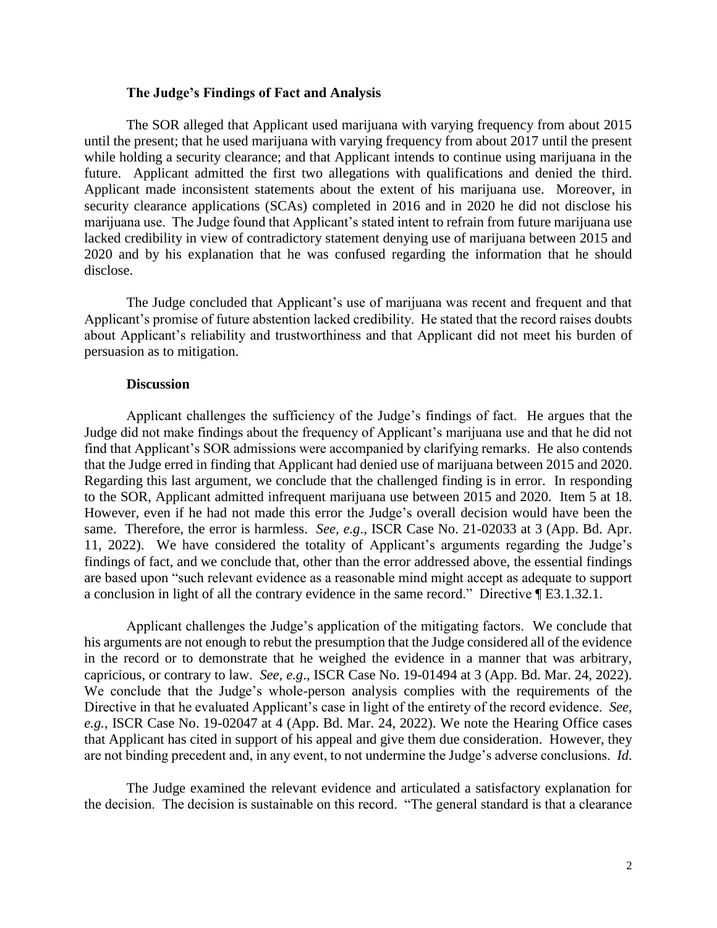### **The Judge's Findings of Fact and Analysis**

 The SOR alleged that Applicant used marijuana with varying frequency from about 2015 until the present; that he used marijuana with varying frequency from about 2017 until the present while holding a security clearance; and that Applicant intends to continue using marijuana in the future. Applicant admitted the first two allegations with qualifications and denied the third. future. Applicant admitted the first two allegations with qualifications and denied the third. Applicant made inconsistent statements about the extent of his marijuana use. Moreover, in security clearance applications (SCAs) completed in 2016 and in 2020 he did not disclose his marijuana use. The Judge found that Applicant's stated intent to refrain from future marijuana use lacked credibility in view of contradictory statement denying use of marijuana between 2015 and 2020 and by his explanation that he was confused regarding the information that he should disclose.

 The Judge concluded that Applicant's use of marijuana was recent and frequent and that Applicant's promise of future abstention lacked credibility. He stated that the record raises doubts about Applicant's reliability and trustworthiness and that Applicant did not meet his burden of persuasion as to mitigation.

#### **Discussion**

 Applicant challenges the sufficiency of the Judge's findings of fact. He argues that the find that Applicant's SOR admissions were accompanied by clarifying remarks. He also contends that the Judge erred in finding that Applicant had denied use of marijuana between 2015 and 2020. that the Judge erred in finding that Applicant had denied use of marijuana between 2015 and 2020. Regarding this last argument, we conclude that the challenged finding is in error. In responding to the SOR, Applicant admitted infrequent marijuana use between 2015 and 2020. Item 5 at 18. However, even if he had not made this error the Judge's overall decision would have been the same. Therefore, the error is harmless. *See, e.g*., ISCR Case No. 21-02033 at 3 (App. Bd. Apr. 11, 2022). We have considered the totality of Applicant's arguments regarding the Judge's a conclusion in light of all the contrary evidence in the same record." Directive ¶ E3.1.32.1. Judge did not make findings about the frequency of Applicant's marijuana use and that he did not findings of fact, and we conclude that, other than the error addressed above, the essential findings are based upon "such relevant evidence as a reasonable mind might accept as adequate to support

 Applicant challenges the Judge's application of the mitigating factors. We conclude that in the record or to demonstrate that he weighed the evidence in a manner that was arbitrary, capricious, or contrary to law. See, e.g., ISCR Case No. 19-01494 at 3 (App. Bd. Mar. 24, 2022). capricious, or contrary to law. *See, e.g*., ISCR Case No. 19-01494 at 3 (App. Bd. Mar. 24, 2022). We conclude that the Judge's whole-person analysis complies with the requirements of the Directive in that he evaluated Applicant's case in light of the entirety of the record evidence. *See, e.g.*, ISCR Case No. 19-02047 at 4 (App. Bd. Mar. 24, 2022). We note the Hearing Office cases are not binding precedent and, in any event, to not undermine the Judge's adverse conclusions. *Id*. his arguments are not enough to rebut the presumption that the Judge considered all of the evidence that Applicant has cited in support of his appeal and give them due consideration. However, they

 The Judge examined the relevant evidence and articulated a satisfactory explanation for the decision. The decision is sustainable on this record. "The general standard is that a clearance